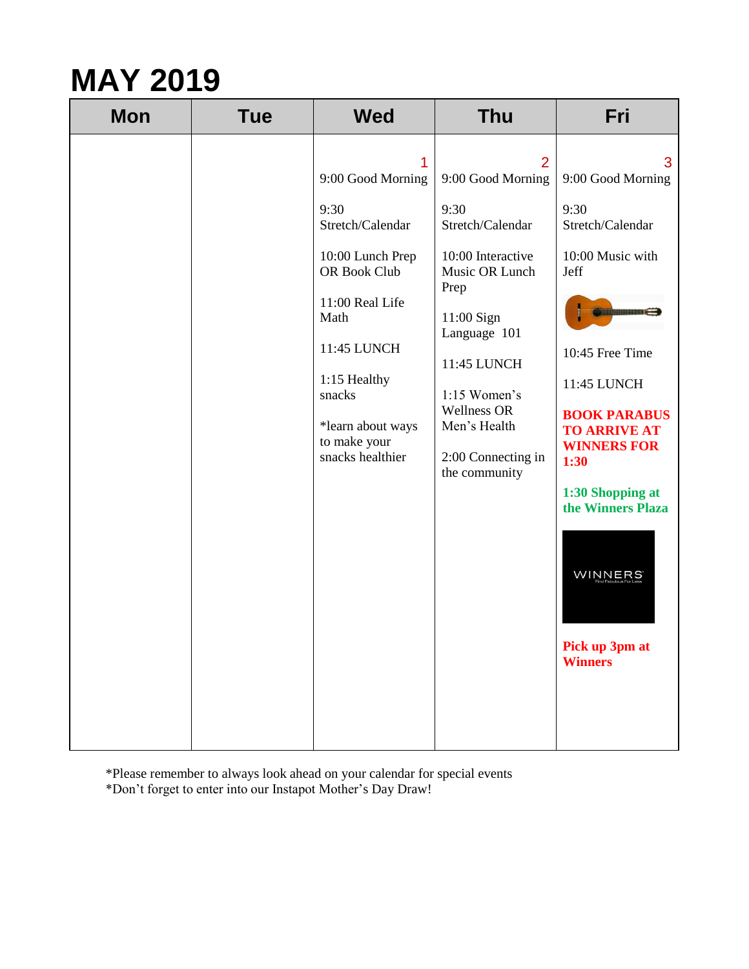| $\overline{2}$<br>3<br>1<br>9:00 Good Morning<br>9:00 Good Morning<br>9:00 Good Morning<br>9:30<br>9:30<br>9:30<br>Stretch/Calendar<br>Stretch/Calendar<br>Stretch/Calendar<br>10:00 Interactive<br>10:00 Music with<br>10:00 Lunch Prep<br>OR Book Club<br>Music OR Lunch<br>Jeff<br>Prep<br>11:00 Real Life<br>Ciliman C<br>Math<br>11:00 Sign<br>Language 101<br>11:45 LUNCH<br>10:45 Free Time<br>11:45 LUNCH | <b>Mon</b> | <b>Tue</b> | <b>Wed</b>   | <b>Thu</b> | Fri |
|-------------------------------------------------------------------------------------------------------------------------------------------------------------------------------------------------------------------------------------------------------------------------------------------------------------------------------------------------------------------------------------------------------------------|------------|------------|--------------|------------|-----|
| 11:45 LUNCH<br>1:15 Women's<br>snacks<br>Wellness OR<br><b>BOOK PARABUS</b><br>Men's Health<br>*learn about ways<br><b>TO ARRIVE AT</b><br>to make your<br><b>WINNERS FOR</b><br>snacks healthier<br>2:00 Connecting in<br>1:30<br>the community<br>1:30 Shopping at<br>the Winners Plaza<br>WINNERS<br>Pick up 3pm at<br><b>Winners</b>                                                                          |            |            | 1:15 Healthy |            |     |

\*Please remember to always look ahead on your calendar for special events \*Don't forget to enter into our Instapot Mother's Day Draw!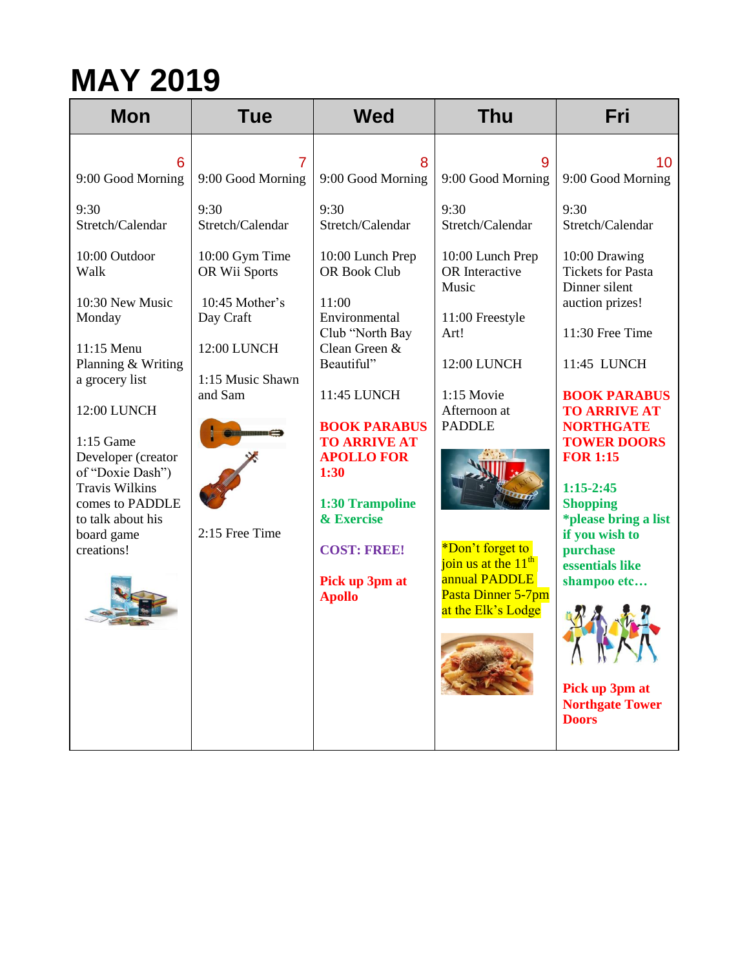| <b>Mon</b>                                                                                                                                                                                                                                                                                                                          | <b>Tue</b>                                                                                                                                                                           | <b>Wed</b>                                                                                                                                                                                                                                                                                                                                             | <b>Thu</b>                                                                                                                                                                                                                                                                                              | Fri                                                                                                                                                                                                                                                                                                                                                                                                                                                                                   |
|-------------------------------------------------------------------------------------------------------------------------------------------------------------------------------------------------------------------------------------------------------------------------------------------------------------------------------------|--------------------------------------------------------------------------------------------------------------------------------------------------------------------------------------|--------------------------------------------------------------------------------------------------------------------------------------------------------------------------------------------------------------------------------------------------------------------------------------------------------------------------------------------------------|---------------------------------------------------------------------------------------------------------------------------------------------------------------------------------------------------------------------------------------------------------------------------------------------------------|---------------------------------------------------------------------------------------------------------------------------------------------------------------------------------------------------------------------------------------------------------------------------------------------------------------------------------------------------------------------------------------------------------------------------------------------------------------------------------------|
| 6<br>9:00 Good Morning<br>9:30<br>Stretch/Calendar<br>10:00 Outdoor<br>Walk<br>10:30 New Music<br>Monday<br>11:15 Menu<br>Planning & Writing<br>a grocery list<br>12:00 LUNCH<br>$1:15$ Game<br>Developer (creator<br>of "Doxie Dash")<br><b>Travis Wilkins</b><br>comes to PADDLE<br>to talk about his<br>board game<br>creations! | 7<br>9:00 Good Morning<br>9:30<br>Stretch/Calendar<br>10:00 Gym Time<br>OR Wii Sports<br>10:45 Mother's<br>Day Craft<br>12:00 LUNCH<br>1:15 Music Shawn<br>and Sam<br>2:15 Free Time | 8<br>9:00 Good Morning<br>9:30<br>Stretch/Calendar<br>10:00 Lunch Prep<br>OR Book Club<br>11:00<br>Environmental<br>Club "North Bay<br>Clean Green &<br>Beautiful"<br>11:45 LUNCH<br><b>BOOK PARABUS</b><br><b>TO ARRIVE AT</b><br><b>APOLLO FOR</b><br>1:30<br>1:30 Trampoline<br>& Exercise<br><b>COST: FREE!</b><br>Pick up 3pm at<br><b>Apollo</b> | 9<br>9:00 Good Morning<br>9:30<br>Stretch/Calendar<br>10:00 Lunch Prep<br>OR Interactive<br>Music<br>11:00 Freestyle<br>Art!<br>12:00 LUNCH<br>1:15 Movie<br>Afternoon at<br><b>PADDLE</b><br>*Don't forget to<br>join us at the $11^{th}$<br>annual PADDLE<br>Pasta Dinner 5-7pm<br>at the Elk's Lodge | 10<br>9:00 Good Morning<br>9:30<br>Stretch/Calendar<br>10:00 Drawing<br><b>Tickets for Pasta</b><br>Dinner silent<br>auction prizes!<br>11:30 Free Time<br>11:45 LUNCH<br><b>BOOK PARABUS</b><br><b>TO ARRIVE AT</b><br><b>NORTHGATE</b><br><b>TOWER DOORS</b><br><b>FOR 1:15</b><br>$1:15-2:45$<br><b>Shopping</b><br>*please bring a list<br>if you wish to<br>purchase<br>essentials like<br>shampoo etc<br>$\sqrt{1}$<br>Pick up 3pm at<br><b>Northgate Tower</b><br><b>Doors</b> |
|                                                                                                                                                                                                                                                                                                                                     |                                                                                                                                                                                      |                                                                                                                                                                                                                                                                                                                                                        |                                                                                                                                                                                                                                                                                                         |                                                                                                                                                                                                                                                                                                                                                                                                                                                                                       |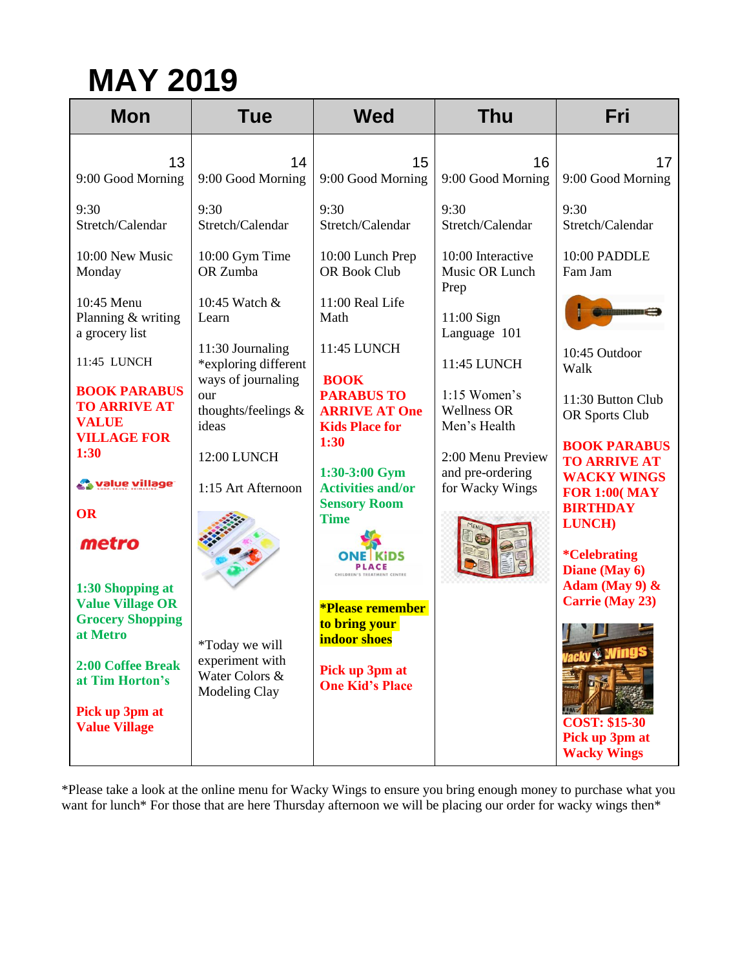| <b>Mon</b>                                                                                                                                                                                                                                                                                                                                                                                                                    | <b>Tue</b>                                                                                                                                                                                                                                                                                                       | <b>Wed</b>                                                                                                                                                                                                                                                                                                                                                                                                                | <b>Thu</b>                                                                                                                                                                                                                                                          | Fri                                                                                                                                                                                                                                                                                                                                                                                                      |
|-------------------------------------------------------------------------------------------------------------------------------------------------------------------------------------------------------------------------------------------------------------------------------------------------------------------------------------------------------------------------------------------------------------------------------|------------------------------------------------------------------------------------------------------------------------------------------------------------------------------------------------------------------------------------------------------------------------------------------------------------------|---------------------------------------------------------------------------------------------------------------------------------------------------------------------------------------------------------------------------------------------------------------------------------------------------------------------------------------------------------------------------------------------------------------------------|---------------------------------------------------------------------------------------------------------------------------------------------------------------------------------------------------------------------------------------------------------------------|----------------------------------------------------------------------------------------------------------------------------------------------------------------------------------------------------------------------------------------------------------------------------------------------------------------------------------------------------------------------------------------------------------|
| 13<br>9:00 Good Morning<br>9:30<br>Stretch/Calendar<br>10:00 New Music<br>Monday<br>10:45 Menu<br>Planning & writing<br>a grocery list<br>11:45 LUNCH<br><b>BOOK PARABUS</b><br><b>TO ARRIVE AT</b><br><b>VALUE</b><br><b>VILLAGE FOR</b><br>1:30<br><b>Walue village</b><br><b>OR</b><br>metro<br>1:30 Shopping at<br><b>Value Village OR</b><br><b>Grocery Shopping</b><br>at Metro<br>2:00 Coffee Break<br>at Tim Horton's | 14<br>9:00 Good Morning<br>9:30<br>Stretch/Calendar<br>10:00 Gym Time<br>OR Zumba<br>10:45 Watch &<br>Learn<br>11:30 Journaling<br>*exploring different<br>ways of journaling<br>our<br>thoughts/feelings &<br>ideas<br>12:00 LUNCH<br>1:15 Art Afternoon<br>*Today we will<br>experiment with<br>Water Colors & | 15<br>9:00 Good Morning<br>9:30<br>Stretch/Calendar<br>10:00 Lunch Prep<br>OR Book Club<br>11:00 Real Life<br>Math<br>11:45 LUNCH<br><b>BOOK</b><br><b>PARABUS TO</b><br><b>ARRIVE AT One</b><br><b>Kids Place for</b><br>1:30<br>1:30-3:00 Gym<br><b>Activities and/or</b><br><b>Sensory Room</b><br><b>Time</b><br><b>*Please remember</b><br>to bring your<br>indoor shoes<br>Pick up 3pm at<br><b>One Kid's Place</b> | 16<br>9:00 Good Morning<br>9:30<br>Stretch/Calendar<br>10:00 Interactive<br>Music OR Lunch<br>Prep<br>11:00 Sign<br>Language 101<br>11:45 LUNCH<br>$1:15$ Women's<br><b>Wellness OR</b><br>Men's Health<br>2:00 Menu Preview<br>and pre-ordering<br>for Wacky Wings | 17<br>9:00 Good Morning<br>9:30<br>Stretch/Calendar<br>10:00 PADDLE<br>Fam Jam<br><b>Simining ages &amp;</b><br>10:45 Outdoor<br>Walk<br>11:30 Button Club<br>OR Sports Club<br><b>BOOK PARABUS</b><br><b>TO ARRIVE AT</b><br><b>WACKY WINGS</b><br><b>FOR 1:00( MAY</b><br><b>BIRTHDAY</b><br><b>LUNCH</b> )<br><i><b>*Celebrating</b></i><br>Diane (May 6)<br>Adam (May 9) &<br><b>Carrie (May 23)</b> |
| Pick up 3pm at<br><b>Value Village</b>                                                                                                                                                                                                                                                                                                                                                                                        | Modeling Clay                                                                                                                                                                                                                                                                                                    |                                                                                                                                                                                                                                                                                                                                                                                                                           |                                                                                                                                                                                                                                                                     | <b>COST: \$15-30</b><br>Pick up 3pm at<br><b>Wacky Wings</b>                                                                                                                                                                                                                                                                                                                                             |

\*Please take a look at the online menu for Wacky Wings to ensure you bring enough money to purchase what you want for lunch\* For those that are here Thursday afternoon we will be placing our order for wacky wings then\*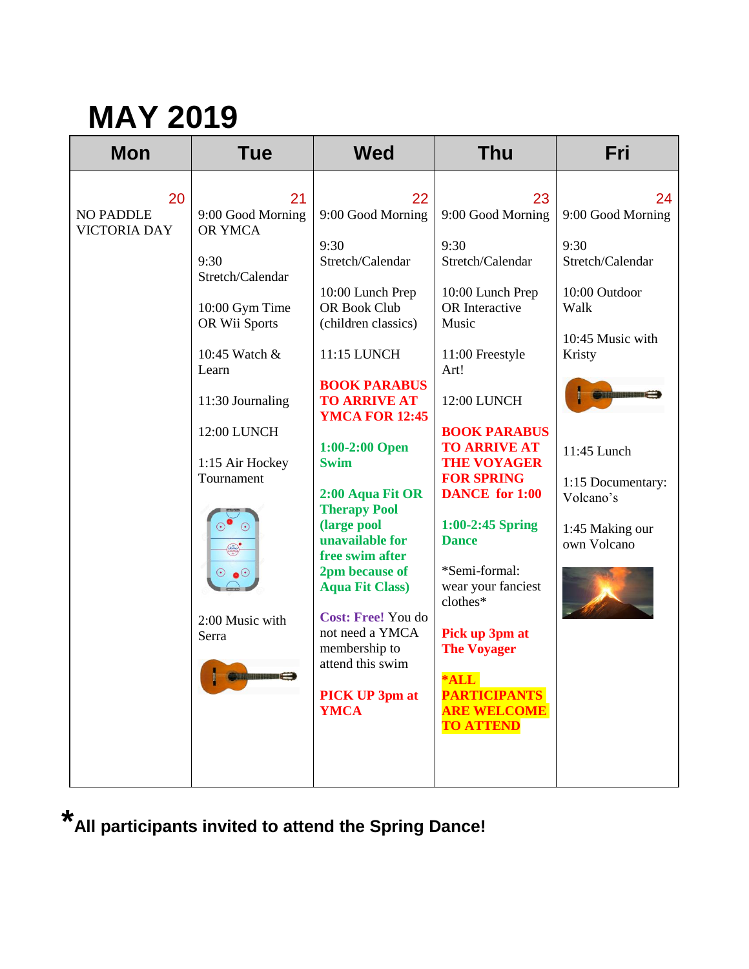| <b>Mon</b>                                    | Tue                                                                                                                                                                                                                                                                                             | <b>Wed</b>                                                                                                                                                                                                                                                                                                                                                                                                                                                                                              | <b>Thu</b>                                                                                                                                                                                                                                                                                                                                                                                                                                                               | Fri                                                                                                                                                                                                                                              |
|-----------------------------------------------|-------------------------------------------------------------------------------------------------------------------------------------------------------------------------------------------------------------------------------------------------------------------------------------------------|---------------------------------------------------------------------------------------------------------------------------------------------------------------------------------------------------------------------------------------------------------------------------------------------------------------------------------------------------------------------------------------------------------------------------------------------------------------------------------------------------------|--------------------------------------------------------------------------------------------------------------------------------------------------------------------------------------------------------------------------------------------------------------------------------------------------------------------------------------------------------------------------------------------------------------------------------------------------------------------------|--------------------------------------------------------------------------------------------------------------------------------------------------------------------------------------------------------------------------------------------------|
| 20<br><b>NO PADDLE</b><br><b>VICTORIA DAY</b> | 21<br>9:00 Good Morning<br>OR YMCA<br>9:30<br>Stretch/Calendar<br>10:00 Gym Time<br>OR Wii Sports<br>10:45 Watch &<br>Learn<br>11:30 Journaling<br>12:00 LUNCH<br>1:15 Air Hockey<br>Tournament<br>$\odot$ $\bullet$<br>2:00 Music with<br>Serra<br><b>SANTA DE LA PERSONA DE LA PERSONA DE</b> | 22<br>9:00 Good Morning<br>9:30<br>Stretch/Calendar<br>10:00 Lunch Prep<br>OR Book Club<br>(children classics)<br>11:15 LUNCH<br><b>BOOK PARABUS</b><br><b>TO ARRIVE AT</b><br><b>YMCA FOR 12:45</b><br>1:00-2:00 Open<br><b>Swim</b><br>2:00 Aqua Fit OR<br><b>Therapy Pool</b><br>(large pool<br>unavailable for<br>free swim after<br>2pm because of<br><b>Aqua Fit Class)</b><br>Cost: Free! You do<br>not need a YMCA<br>membership to<br>attend this swim<br><b>PICK UP 3pm at</b><br><b>YMCA</b> | 23<br>9:00 Good Morning<br>9:30<br>Stretch/Calendar<br>10:00 Lunch Prep<br>OR Interactive<br>Music<br>11:00 Freestyle<br>Art!<br>12:00 LUNCH<br><b>BOOK PARABUS</b><br><b>TO ARRIVE AT</b><br><b>THE VOYAGER</b><br><b>FOR SPRING</b><br><b>DANCE</b> for 1:00<br>1:00-2:45 Spring<br><b>Dance</b><br>*Semi-formal:<br>wear your fanciest<br>clothes*<br>Pick up 3pm at<br><b>The Voyager</b><br>$*ALL$<br><b>PARTICIPANTS</b><br><b>ARE WELCOME</b><br><b>TO ATTEND</b> | 24<br>9:00 Good Morning<br>9:30<br>Stretch/Calendar<br>10:00 Outdoor<br>Walk<br>10:45 Music with<br>Kristy<br><b>Similiar and Street Street Street Street</b><br>11:45 Lunch<br>1:15 Documentary:<br>Volcano's<br>1:45 Making our<br>own Volcano |

**\*All participants invited to attend the Spring Dance!**